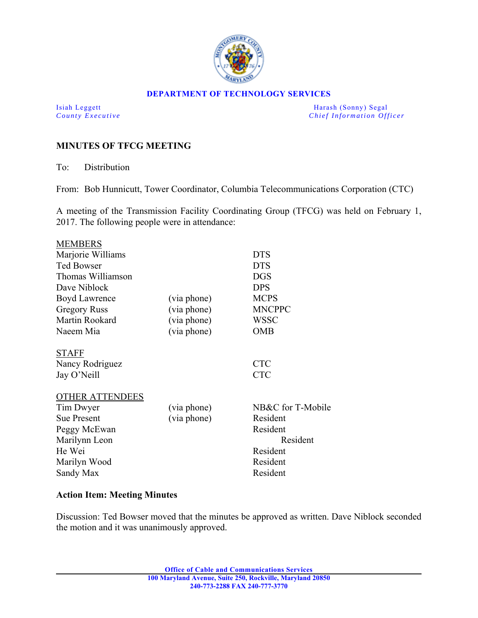

### **DEPARTMENT OF TECHNOLOGY SERVICES**

Isiah Leggett Harash (Sonny) Segal *County Executive* **County**  $\overline{C}$  *Chief Information Officer* 

# **MINUTES OF TFCG MEETING**

To: Distribution

From: Bob Hunnicutt, Tower Coordinator, Columbia Telecommunications Corporation (CTC)

A meeting of the Transmission Facility Coordinating Group (TFCG) was held on February 1, 2017. The following people were in attendance:

| <b>MEMBERS</b>         |             |                   |
|------------------------|-------------|-------------------|
| Marjorie Williams      |             | <b>DTS</b>        |
| <b>Ted Bowser</b>      |             | <b>DTS</b>        |
| Thomas Williamson      |             | <b>DGS</b>        |
| Dave Niblock           |             | <b>DPS</b>        |
| Boyd Lawrence          | (via phone) | <b>MCPS</b>       |
| <b>Gregory Russ</b>    | (via phone) | <b>MNCPPC</b>     |
| Martin Rookard         | (via phone) | <b>WSSC</b>       |
| Naeem Mia              | (via phone) | <b>OMB</b>        |
| <b>STAFF</b>           |             |                   |
| Nancy Rodriguez        |             | <b>CTC</b>        |
| Jay O'Neill            |             | <b>CTC</b>        |
| <b>OTHER ATTENDEES</b> |             |                   |
| Tim Dwyer              | (via phone) | NB&C for T-Mobile |
| <b>Sue Present</b>     | (via phone) | Resident          |
| Peggy McEwan           |             | Resident          |
| Marilynn Leon          |             | Resident          |
| He Wei                 |             | Resident          |
| Marilyn Wood           |             | Resident          |
| Sandy Max              |             | Resident          |
|                        |             |                   |

## **Action Item: Meeting Minutes**

Discussion: Ted Bowser moved that the minutes be approved as written. Dave Niblock seconded the motion and it was unanimously approved.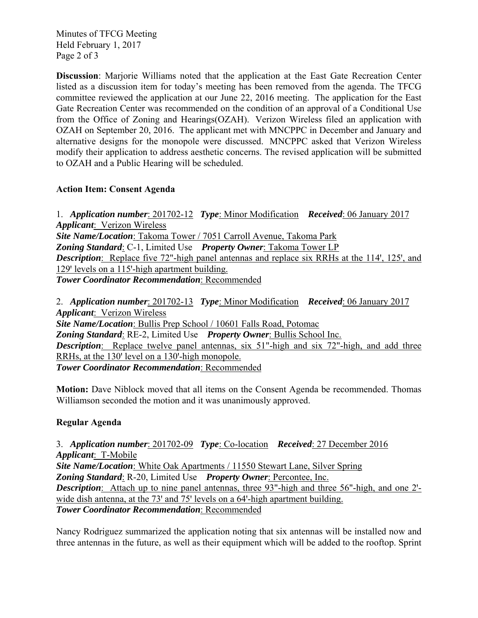Minutes of TFCG Meeting Held February 1, 2017 Page 2 of 3

**Discussion**: Marjorie Williams noted that the application at the East Gate Recreation Center listed as a discussion item for today's meeting has been removed from the agenda. The TFCG committee reviewed the application at our June 22, 2016 meeting. The application for the East Gate Recreation Center was recommended on the condition of an approval of a Conditional Use from the Office of Zoning and Hearings(OZAH). Verizon Wireless filed an application with OZAH on September 20, 2016. The applicant met with MNCPPC in December and January and alternative designs for the monopole were discussed. MNCPPC asked that Verizon Wireless modify their application to address aesthetic concerns. The revised application will be submitted to OZAH and a Public Hearing will be scheduled.

# **Action Item: Consent Agenda**

1. *Application number*: 201702-12 *Type*: Minor Modification *Received*: 06 January 2017 *Applicant*: Verizon Wireless *Site Name/Location*: Takoma Tower / 7051 Carroll Avenue, Takoma Park *Zoning Standard*: C-1, Limited Use *Property Owner*: Takoma Tower LP **Description**: Replace five 72"-high panel antennas and replace six RRHs at the 114', 125', and 129' levels on a 115'-high apartment building. *Tower Coordinator Recommendation*: Recommended

2. *Application number*: 201702-13 *Type*: Minor Modification *Received*: 06 January 2017 *Applicant*: Verizon Wireless *Site Name/Location*: Bullis Prep School / 10601 Falls Road, Potomac *Zoning Standard*: RE-2, Limited Use *Property Owner*: Bullis School Inc. *Description*: Replace twelve panel antennas, six 51"-high and six 72"-high, and add three RRHs, at the 130' level on a 130'-high monopole. *Tower Coordinator Recommendation*: Recommended

**Motion:** Dave Niblock moved that all items on the Consent Agenda be recommended. Thomas Williamson seconded the motion and it was unanimously approved.

# **Regular Agenda**

3. *Application number*: 201702-09 *Type*: Co-location *Received*: 27 December 2016 *Applicant*: T-Mobile *Site Name/Location*: White Oak Apartments / 11550 Stewart Lane, Silver Spring *Zoning Standard*: R-20, Limited Use *Property Owner*: Percontee, Inc. *Description*: Attach up to nine panel antennas, three 93"-high and three 56"-high, and one 2'wide dish antenna, at the  $73'$  and  $75'$  levels on a  $64'$ -high apartment building. *Tower Coordinator Recommendation*: Recommended

Nancy Rodriguez summarized the application noting that six antennas will be installed now and three antennas in the future, as well as their equipment which will be added to the rooftop. Sprint